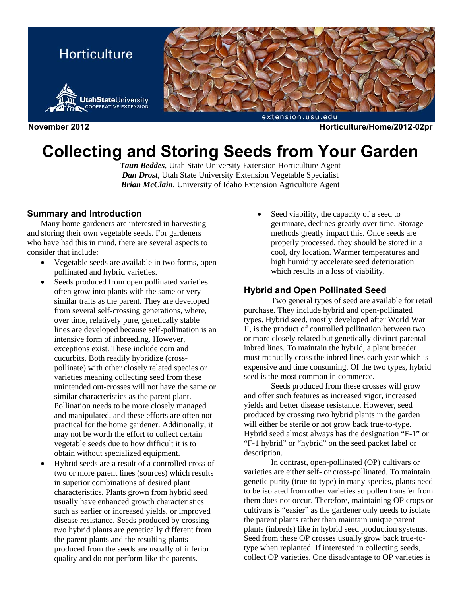

**November 2012 Horticulture/Home/2012-02pr** 

# **Collecting and Storing Seeds from Your Garden**

*Taun Beddes*, Utah State University Extension Horticulture Agent *Dan Drost*, Utah State University Extension Vegetable Specialist *Brian McClain*, University of Idaho Extension Agriculture Agent

## **Summary and Introduction**

Many home gardeners are interested in harvesting and storing their own vegetable seeds. For gardeners who have had this in mind, there are several aspects to consider that include:

- Vegetable seeds are available in two forms, open pollinated and hybrid varieties.
- Seeds produced from open pollinated varieties often grow into plants with the same or very similar traits as the parent. They are developed from several self-crossing generations, where, over time, relatively pure, genetically stable lines are developed because self-pollination is an intensive form of inbreeding. However, exceptions exist. These include corn and cucurbits. Both readily hybridize (crosspollinate) with other closely related species or varieties meaning collecting seed from these unintended out-crosses will not have the same or similar characteristics as the parent plant. Pollination needs to be more closely managed and manipulated, and these efforts are often not practical for the home gardener. Additionally, it may not be worth the effort to collect certain vegetable seeds due to how difficult it is to obtain without specialized equipment.
- Hybrid seeds are a result of a controlled cross of two or more parent lines (sources) which results in superior combinations of desired plant characteristics. Plants grown from hybrid seed usually have enhanced growth characteristics such as earlier or increased yields, or improved disease resistance. Seeds produced by crossing two hybrid plants are genetically different from the parent plants and the resulting plants produced from the seeds are usually of inferior quality and do not perform like the parents.

 Seed viability, the capacity of a seed to germinate, declines greatly over time. Storage methods greatly impact this. Once seeds are properly processed, they should be stored in a cool, dry location. Warmer temperatures and high humidity accelerate seed deterioration which results in a loss of viability.

## **Hybrid and Open Pollinated Seed**

Two general types of seed are available for retail purchase. They include hybrid and open-pollinated types. Hybrid seed, mostly developed after World War II, is the product of controlled pollination between two or more closely related but genetically distinct parental inbred lines. To maintain the hybrid, a plant breeder must manually cross the inbred lines each year which is expensive and time consuming. Of the two types, hybrid seed is the most common in commerce.

Seeds produced from these crosses will grow and offer such features as increased vigor, increased yields and better disease resistance. However, seed produced by crossing two hybrid plants in the garden will either be sterile or not grow back true-to-type. Hybrid seed almost always has the designation "F-1" or "F-1 hybrid" or "hybrid" on the seed packet label or description.

In contrast, open-pollinated (OP) cultivars or varieties are either self- or cross-pollinated. To maintain genetic purity (true-to-type) in many species, plants need to be isolated from other varieties so pollen transfer from them does not occur. Therefore, maintaining OP crops or cultivars is "easier" as the gardener only needs to isolate the parent plants rather than maintain unique parent plants (inbreds) like in hybrid seed production systems. Seed from these OP crosses usually grow back true-totype when replanted. If interested in collecting seeds, collect OP varieties. One disadvantage to OP varieties is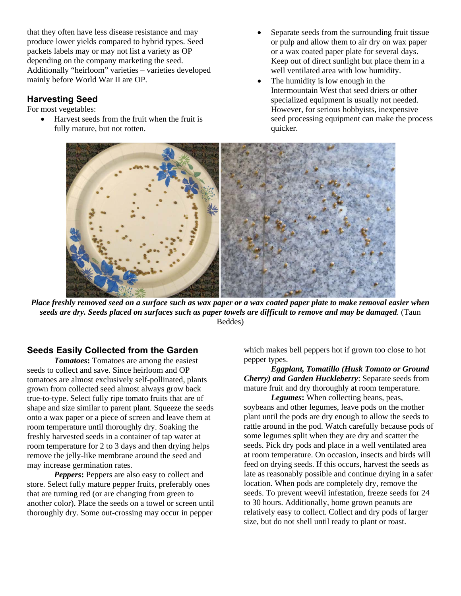that they often have less disease resistance and may produce lower yields compared to hybrid types. Seed packets labels may or may not list a variety as OP depending on the company marketing the seed. Additionally "heirloom" varieties – varieties developed mainly before World War II are OP.

#### **Harvesting Seed**

For most vegetables:

 Harvest seeds from the fruit when the fruit is fully mature, but not rotten.

- Separate seeds from the surrounding fruit tissue or pulp and allow them to air dry on wax paper or a wax coated paper plate for several days. Keep out of direct sunlight but place them in a well ventilated area with low humidity.
- The humidity is low enough in the Intermountain West that seed driers or other specialized equipment is usually not needed. However, for serious hobbyists, inexpensive seed processing equipment can make the process quicker.



*Place freshly removed seed on a surface such as wax paper or a wax coated paper plate to make removal easier when seeds are dry. Seeds placed on surfaces such as paper towels are difficult to remove and may be damaged.* (Taun Beddes)

## **Seeds Easily Collected from the Garden**

*Tomatoes***:** Tomatoes are among the easiest seeds to collect and save. Since heirloom and OP tomatoes are almost exclusively self-pollinated, plants grown from collected seed almost always grow back true-to-type. Select fully ripe tomato fruits that are of shape and size similar to parent plant. Squeeze the seeds onto a wax paper or a piece of screen and leave them at room temperature until thoroughly dry. Soaking the freshly harvested seeds in a container of tap water at room temperature for 2 to 3 days and then drying helps remove the jelly-like membrane around the seed and may increase germination rates.

*Peppers*: Peppers are also easy to collect and store. Select fully mature pepper fruits, preferably ones that are turning red (or are changing from green to another color). Place the seeds on a towel or screen until thoroughly dry. Some out-crossing may occur in pepper

which makes bell peppers hot if grown too close to hot pepper types.

*Eggplant, Tomatillo (Husk Tomato or Ground Cherry) and Garden Huckleberry*: Separate seeds from mature fruit and dry thoroughly at room temperature.

*Legumes***:** When collecting beans, peas, soybeans and other legumes, leave pods on the mother plant until the pods are dry enough to allow the seeds to rattle around in the pod. Watch carefully because pods of some legumes split when they are dry and scatter the seeds. Pick dry pods and place in a well ventilated area at room temperature. On occasion, insects and birds will feed on drying seeds. If this occurs, harvest the seeds as late as reasonably possible and continue drying in a safer location. When pods are completely dry, remove the seeds. To prevent weevil infestation, freeze seeds for 24 to 30 hours. Additionally, home grown peanuts are relatively easy to collect. Collect and dry pods of larger size, but do not shell until ready to plant or roast.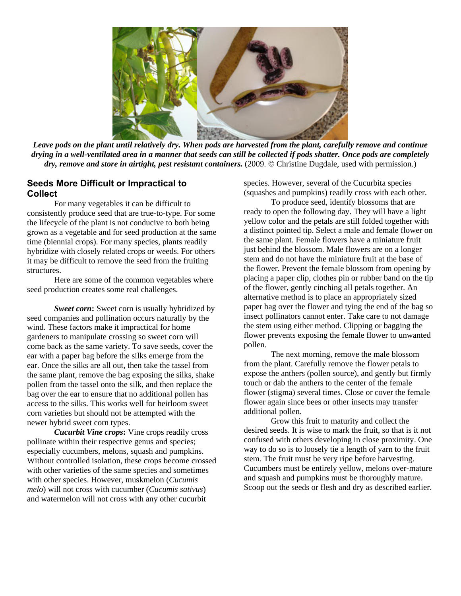

*Leave pods on the plant until relatively dry. When pods are harvested from the plant, carefully remove and continue drying in a well-ventilated area in a manner that seeds can still be collected if pods shatter. Once pods are completely dry, remove and store in airtight, pest resistant containers.* (2009. © Christine Dugdale, used with permission.)

#### **Seeds More Difficult or Impractical to Collect**

For many vegetables it can be difficult to consistently produce seed that are true-to-type. For some the lifecycle of the plant is not conducive to both being grown as a vegetable and for seed production at the same time (biennial crops). For many species, plants readily hybridize with closely related crops or weeds. For others it may be difficult to remove the seed from the fruiting structures.

Here are some of the common vegetables where seed production creates some real challenges.

*Sweet corn***:** Sweet corn is usually hybridized by seed companies and pollination occurs naturally by the wind. These factors make it impractical for home gardeners to manipulate crossing so sweet corn will come back as the same variety. To save seeds, cover the ear with a paper bag before the silks emerge from the ear. Once the silks are all out, then take the tassel from the same plant, remove the bag exposing the silks, shake pollen from the tassel onto the silk, and then replace the bag over the ear to ensure that no additional pollen has access to the silks. This works well for heirloom sweet corn varieties but should not be attempted with the newer hybrid sweet corn types.

*Cucurbit Vine crops***:** Vine crops readily cross pollinate within their respective genus and species; especially cucumbers, melons, squash and pumpkins. Without controlled isolation, these crops become crossed with other varieties of the same species and sometimes with other species. However, muskmelon (*Cucumis melo*) will not cross with cucumber (*Cucumis sativus*) and watermelon will not cross with any other cucurbit

species. However, several of the Cucurbita species (squashes and pumpkins) readily cross with each other.

To produce seed, identify blossoms that are ready to open the following day. They will have a light yellow color and the petals are still folded together with a distinct pointed tip. Select a male and female flower on the same plant. Female flowers have a miniature fruit just behind the blossom. Male flowers are on a longer stem and do not have the miniature fruit at the base of the flower. Prevent the female blossom from opening by placing a paper clip, clothes pin or rubber band on the tip of the flower, gently cinching all petals together. An alternative method is to place an appropriately sized paper bag over the flower and tying the end of the bag so insect pollinators cannot enter. Take care to not damage the stem using either method. Clipping or bagging the flower prevents exposing the female flower to unwanted pollen.

The next morning, remove the male blossom from the plant. Carefully remove the flower petals to expose the anthers (pollen source), and gently but firmly touch or dab the anthers to the center of the female flower (stigma) several times. Close or cover the female flower again since bees or other insects may transfer additional pollen.

Grow this fruit to maturity and collect the desired seeds. It is wise to mark the fruit, so that is it not confused with others developing in close proximity. One way to do so is to loosely tie a length of yarn to the fruit stem. The fruit must be very ripe before harvesting. Cucumbers must be entirely yellow, melons over-mature and squash and pumpkins must be thoroughly mature. Scoop out the seeds or flesh and dry as described earlier.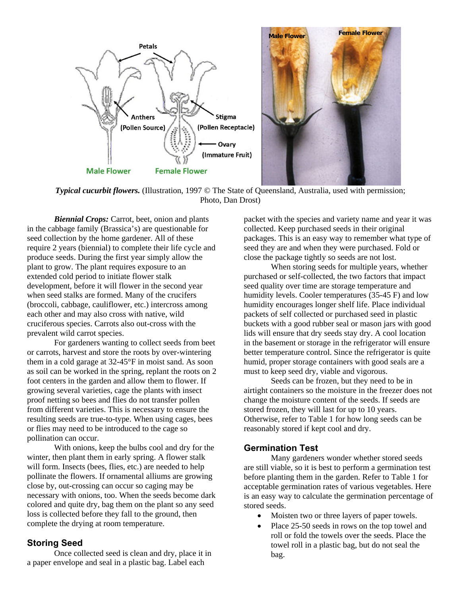

*Typical cucurbit flowers.* (Illustration, 1997 © The State of Queensland, Australia, used with permission; Photo, Dan Drost)

*Biennial Crops:* Carrot, beet, onion and plants in the cabbage family (Brassica's) are questionable for seed collection by the home gardener. All of these require 2 years (biennial) to complete their life cycle and produce seeds. During the first year simply allow the plant to grow. The plant requires exposure to an extended cold period to initiate flower stalk development, before it will flower in the second year when seed stalks are formed. Many of the crucifers (broccoli, cabbage, cauliflower, etc.) intercross among each other and may also cross with native, wild cruciferous species. Carrots also out-cross with the prevalent wild carrot species.

For gardeners wanting to collect seeds from beet or carrots, harvest and store the roots by over-wintering them in a cold garage at 32-45°F in moist sand. As soon as soil can be worked in the spring, replant the roots on 2 foot centers in the garden and allow them to flower. If growing several varieties, cage the plants with insect proof netting so bees and flies do not transfer pollen from different varieties. This is necessary to ensure the resulting seeds are true-to-type. When using cages, bees or flies may need to be introduced to the cage so pollination can occur.

With onions, keep the bulbs cool and dry for the winter, then plant them in early spring. A flower stalk will form. Insects (bees, flies, etc.) are needed to help pollinate the flowers. If ornamental alliums are growing close by, out-crossing can occur so caging may be necessary with onions, too. When the seeds become dark colored and quite dry, bag them on the plant so any seed loss is collected before they fall to the ground, then complete the drying at room temperature.

#### **Storing Seed**

Once collected seed is clean and dry, place it in a paper envelope and seal in a plastic bag. Label each

packet with the species and variety name and year it was collected. Keep purchased seeds in their original packages. This is an easy way to remember what type of seed they are and when they were purchased. Fold or close the package tightly so seeds are not lost.

When storing seeds for multiple years, whether purchased or self-collected, the two factors that impact seed quality over time are storage temperature and humidity levels. Cooler temperatures (35-45 F) and low humidity encourages longer shelf life. Place individual packets of self collected or purchased seed in plastic buckets with a good rubber seal or mason jars with good lids will ensure that dry seeds stay dry. A cool location in the basement or storage in the refrigerator will ensure better temperature control. Since the refrigerator is quite humid, proper storage containers with good seals are a must to keep seed dry, viable and vigorous.

Seeds can be frozen, but they need to be in airtight containers so the moisture in the freezer does not change the moisture content of the seeds. If seeds are stored frozen, they will last for up to 10 years. Otherwise, refer to Table 1 for how long seeds can be reasonably stored if kept cool and dry.

#### **Germination Test**

Many gardeners wonder whether stored seeds are still viable, so it is best to perform a germination test before planting them in the garden. Refer to Table 1 for acceptable germination rates of various vegetables. Here is an easy way to calculate the germination percentage of stored seeds.

- Moisten two or three layers of paper towels.
- Place 25-50 seeds in rows on the top towel and roll or fold the towels over the seeds. Place the towel roll in a plastic bag, but do not seal the bag.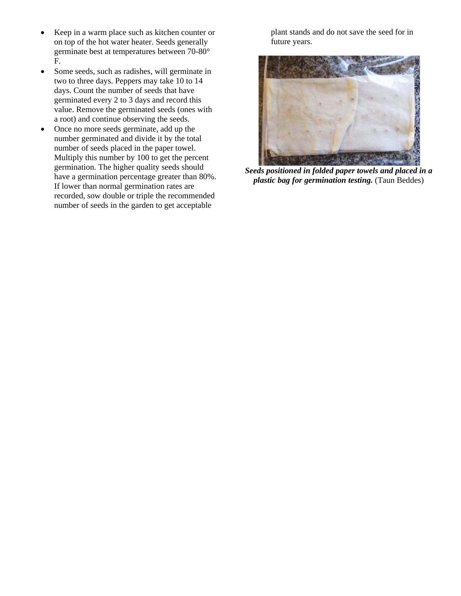- Keep in a warm place such as kitchen counter or on top of the hot water heater. Seeds generally germinate best at temperatures between 70-80° F.
- Some seeds, such as radishes, will germinate in two to three days. Peppers may take 10 to 14 days. Count the number of seeds that have germinated every 2 to 3 days and record this value. Remove the germinated seeds (ones with a root) and continue observing the seeds.
- Once no more seeds germinate, add up the number germinated and divide it by the total number of seeds placed in the paper towel. Multiply this number by 100 to get the percent germination. The higher quality seeds should have a germination percentage greater than 80%. If lower than normal germination rates are recorded, sow double or triple the recommended number of seeds in the garden to get acceptable

plant stands and do not save the seed for in future years.



*Seeds positioned in folded paper towels and placed in a plastic bag for germination testing.* (Taun Beddes)